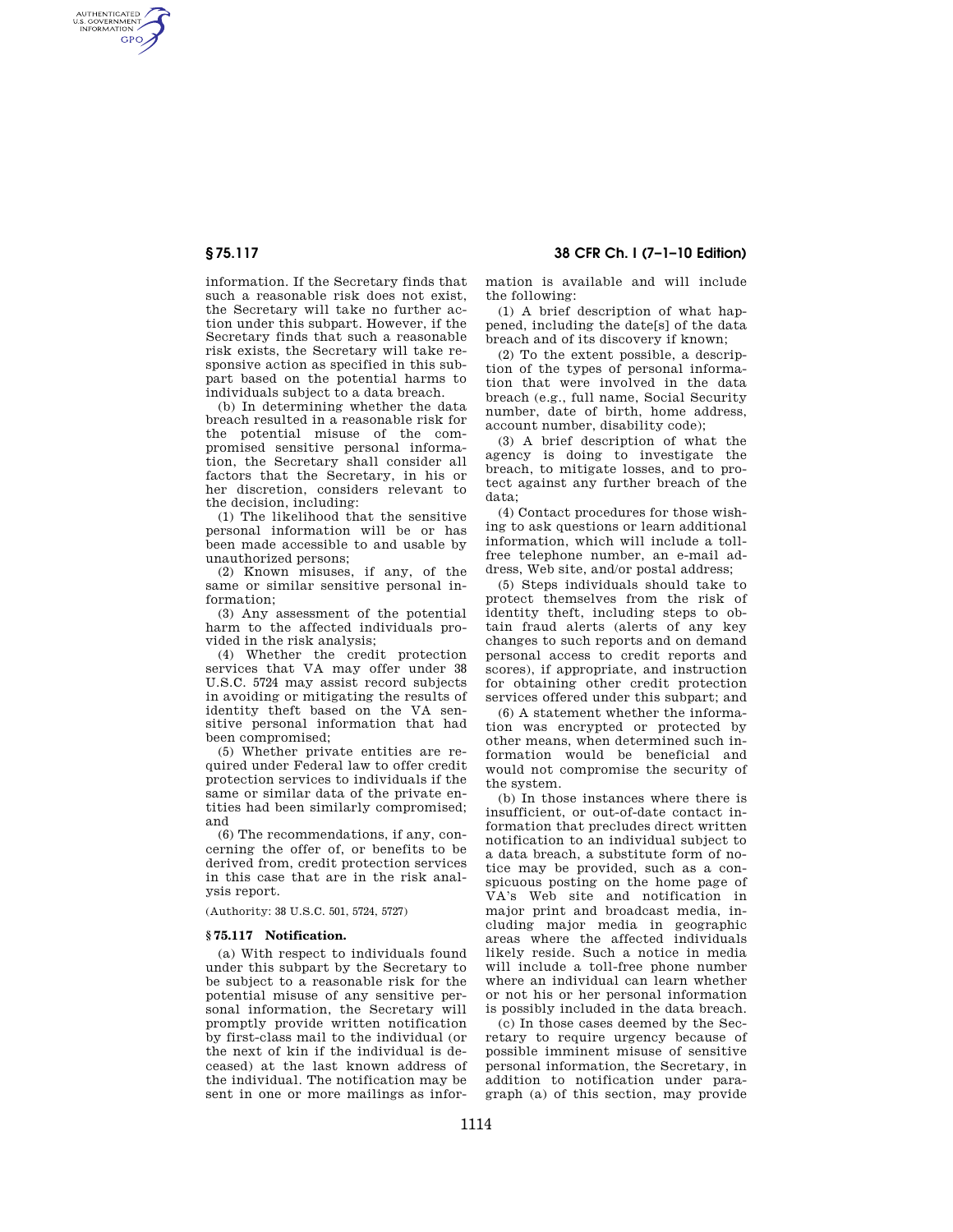AUTHENTICATED<br>U.S. GOVERNMENT<br>INFORMATION **GPO** 

> information. If the Secretary finds that such a reasonable risk does not exist, the Secretary will take no further action under this subpart. However, if the Secretary finds that such a reasonable risk exists, the Secretary will take responsive action as specified in this subpart based on the potential harms to individuals subject to a data breach.

> (b) In determining whether the data breach resulted in a reasonable risk for the potential misuse of the compromised sensitive personal information, the Secretary shall consider all factors that the Secretary, in his or her discretion, considers relevant to the decision, including:

> (1) The likelihood that the sensitive personal information will be or has been made accessible to and usable by unauthorized persons;

> (2) Known misuses, if any, of the same or similar sensitive personal information;

> (3) Any assessment of the potential harm to the affected individuals provided in the risk analysis;

(4) Whether the credit protection services that VA may offer under 38 U.S.C. 5724 may assist record subjects in avoiding or mitigating the results of identity theft based on the VA sensitive personal information that had been compromised;

(5) Whether private entities are required under Federal law to offer credit protection services to individuals if the same or similar data of the private entities had been similarly compromised; and

(6) The recommendations, if any, concerning the offer of, or benefits to be derived from, credit protection services in this case that are in the risk analysis report.

(Authority: 38 U.S.C. 501, 5724, 5727)

## **§ 75.117 Notification.**

(a) With respect to individuals found under this subpart by the Secretary to be subject to a reasonable risk for the potential misuse of any sensitive personal information, the Secretary will promptly provide written notification by first-class mail to the individual (or the next of kin if the individual is deceased) at the last known address of the individual. The notification may be sent in one or more mailings as information is available and will include the following:

(1) A brief description of what happened, including the date[s] of the data breach and of its discovery if known;

(2) To the extent possible, a description of the types of personal information that were involved in the data breach (e.g., full name, Social Security number, date of birth, home address, account number, disability code);

(3) A brief description of what the agency is doing to investigate the breach, to mitigate losses, and to protect against any further breach of the data;

(4) Contact procedures for those wishing to ask questions or learn additional information, which will include a tollfree telephone number, an e-mail address, Web site, and/or postal address;

(5) Steps individuals should take to protect themselves from the risk of identity theft, including steps to obtain fraud alerts (alerts of any key changes to such reports and on demand personal access to credit reports and scores), if appropriate, and instruction for obtaining other credit protection services offered under this subpart; and

(6) A statement whether the information was encrypted or protected by other means, when determined such information would be beneficial and would not compromise the security of the system.

(b) In those instances where there is insufficient, or out-of-date contact information that precludes direct written notification to an individual subject to a data breach, a substitute form of notice may be provided, such as a conspicuous posting on the home page of VA's Web site and notification in major print and broadcast media, including major media in geographic areas where the affected individuals likely reside. Such a notice in media will include a toll-free phone number where an individual can learn whether or not his or her personal information is possibly included in the data breach.

(c) In those cases deemed by the Secretary to require urgency because of possible imminent misuse of sensitive personal information, the Secretary, in addition to notification under paragraph (a) of this section, may provide